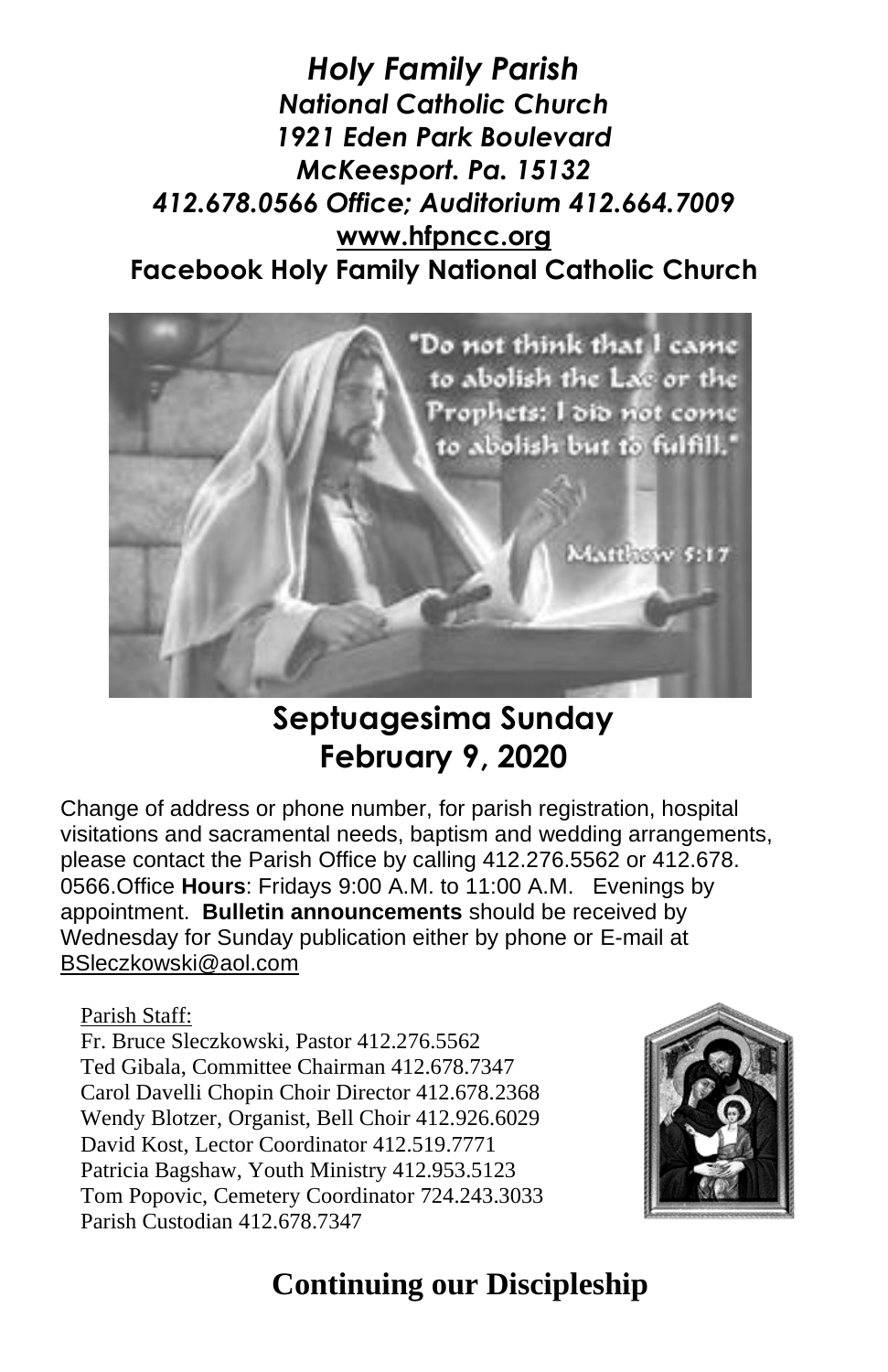*Holy Family Parish National Catholic Church 1921 Eden Park Boulevard McKeesport. Pa. 15132 412.678.0566 Office; Auditorium 412.664.7009* **[www.hfpncc.org](http://www.hfpncc.org/) Facebook Holy Family National Catholic Church**



# **Septuagesima Sunday February 9, 2020**

Change of address or phone number, for parish registration, hospital visitations and sacramental needs, baptism and wedding arrangements, please contact the Parish Office by calling 412.276.5562 or 412.678. 0566.Office **Hours**: Fridays 9:00 A.M. to 11:00 A.M. Evenings by appointment. **Bulletin announcements** should be received by Wednesday for Sunday publication either by phone or E-mail at [BSleczkowski@aol.com](mailto:BSleczkowski@aol.com)

Parish Staff:

Fr. Bruce Sleczkowski, Pastor 412.276.5562 Ted Gibala, Committee Chairman 412.678.7347 Carol Davelli Chopin Choir Director 412.678.2368 Wendy Blotzer, Organist, Bell Choir 412.926.6029 David Kost, Lector Coordinator 412.519.7771 Patricia Bagshaw, Youth Ministry 412.953.5123 Tom Popovic, Cemetery Coordinator 724.243.3033 Parish Custodian 412.678.7347



# **Continuing our Discipleship**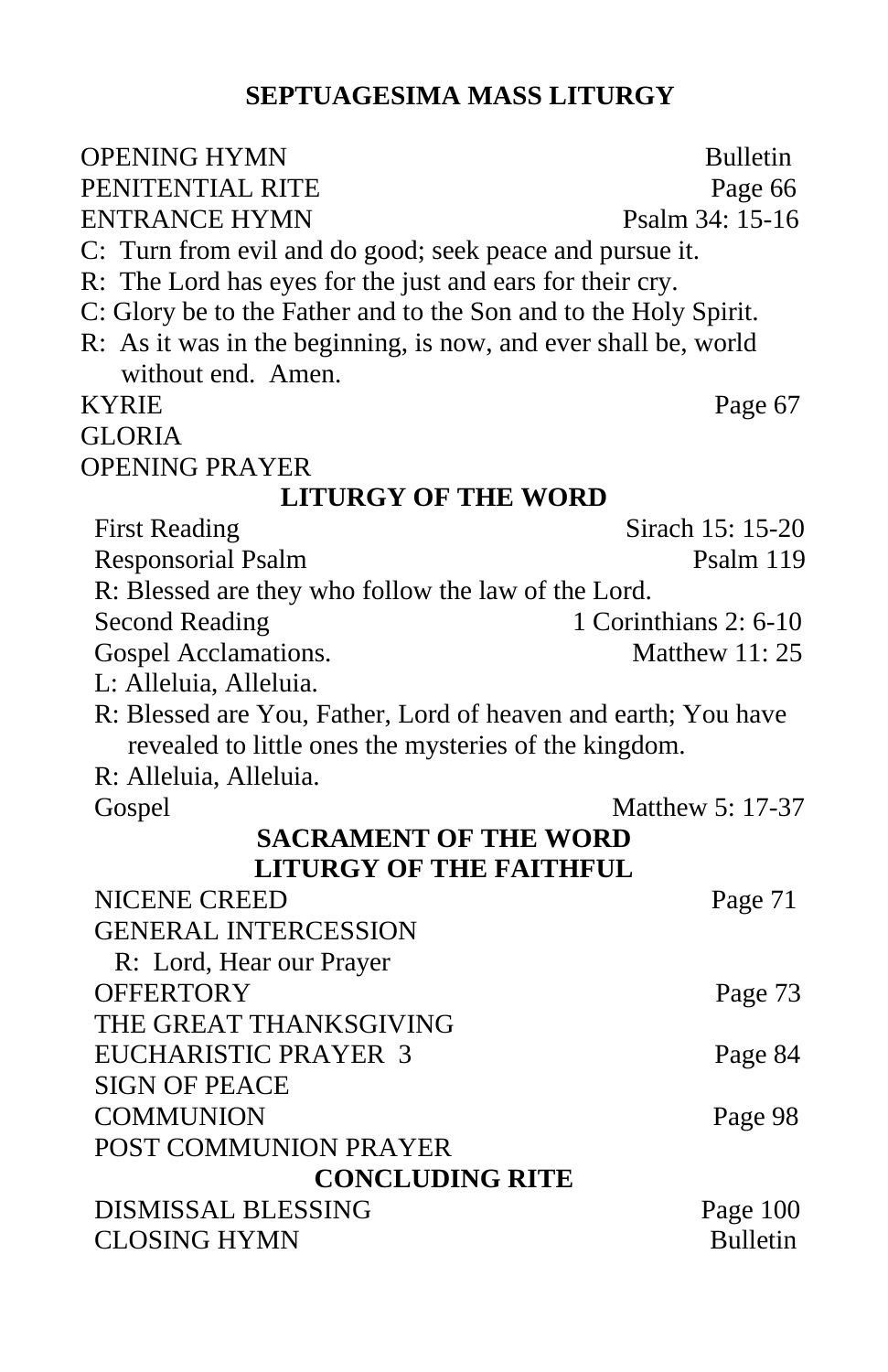#### **SEPTUAGESIMA MASS LITURGY**

| <b>OPENING HYMN</b>                                              | <b>Bulletin</b>       |
|------------------------------------------------------------------|-----------------------|
| PENITENTIAL RITE                                                 | Page 66               |
| ENTRANCE HYMN                                                    | Psalm 34: 15-16       |
| C: Turn from evil and do good; seek peace and pursue it.         |                       |
| R: The Lord has eyes for the just and ears for their cry.        |                       |
| C: Glory be to the Father and to the Son and to the Holy Spirit. |                       |
| R: As it was in the beginning, is now, and ever shall be, world  |                       |
| without end. Amen.                                               |                       |
| <b>KYRIE</b>                                                     | Page 67               |
| <b>GLORIA</b>                                                    |                       |
| <b>OPENING PRAYER</b>                                            |                       |
| <b>LITURGY OF THE WORD</b>                                       |                       |
| <b>First Reading</b>                                             | Sirach 15: 15-20      |
| <b>Responsorial Psalm</b>                                        | Psalm 119             |
| R: Blessed are they who follow the law of the Lord.              |                       |
| <b>Second Reading</b>                                            | 1 Corinthians 2: 6-10 |
| Gospel Acclamations.                                             | Matthew 11:25         |
| L: Alleluia, Alleluia.                                           |                       |
| R: Blessed are You, Father, Lord of heaven and earth; You have   |                       |
| revealed to little ones the mysteries of the kingdom.            |                       |
| R: Alleluia, Alleluia.                                           |                       |
| Gospel                                                           | Matthew 5: 17-37      |
| <b>SACRAMENT OF THE WORD</b>                                     |                       |
| <b>LITURGY OF THE FAITHFUL</b>                                   |                       |
| <b>NICENE CREED</b>                                              | Page 71               |
| <b>GENERAL INTERCESSION</b>                                      |                       |
| R: Lord, Hear our Prayer                                         |                       |
| <b>OFFERTORY</b>                                                 | Page 73               |
| THE GREAT THANKSGIVING                                           |                       |
| <b>EUCHARISTIC PRAYER 3</b>                                      | Page 84               |
| <b>SIGN OF PEACE</b>                                             |                       |
| <b>COMMUNION</b>                                                 | Page 98               |
| POST COMMUNION PRAYER                                            |                       |
| <b>CONCLUDING RITE</b>                                           |                       |
| <b>DISMISSAL BLESSING</b>                                        | Page 100              |
| <b>CLOSING HYMN</b>                                              | <b>Bulletin</b>       |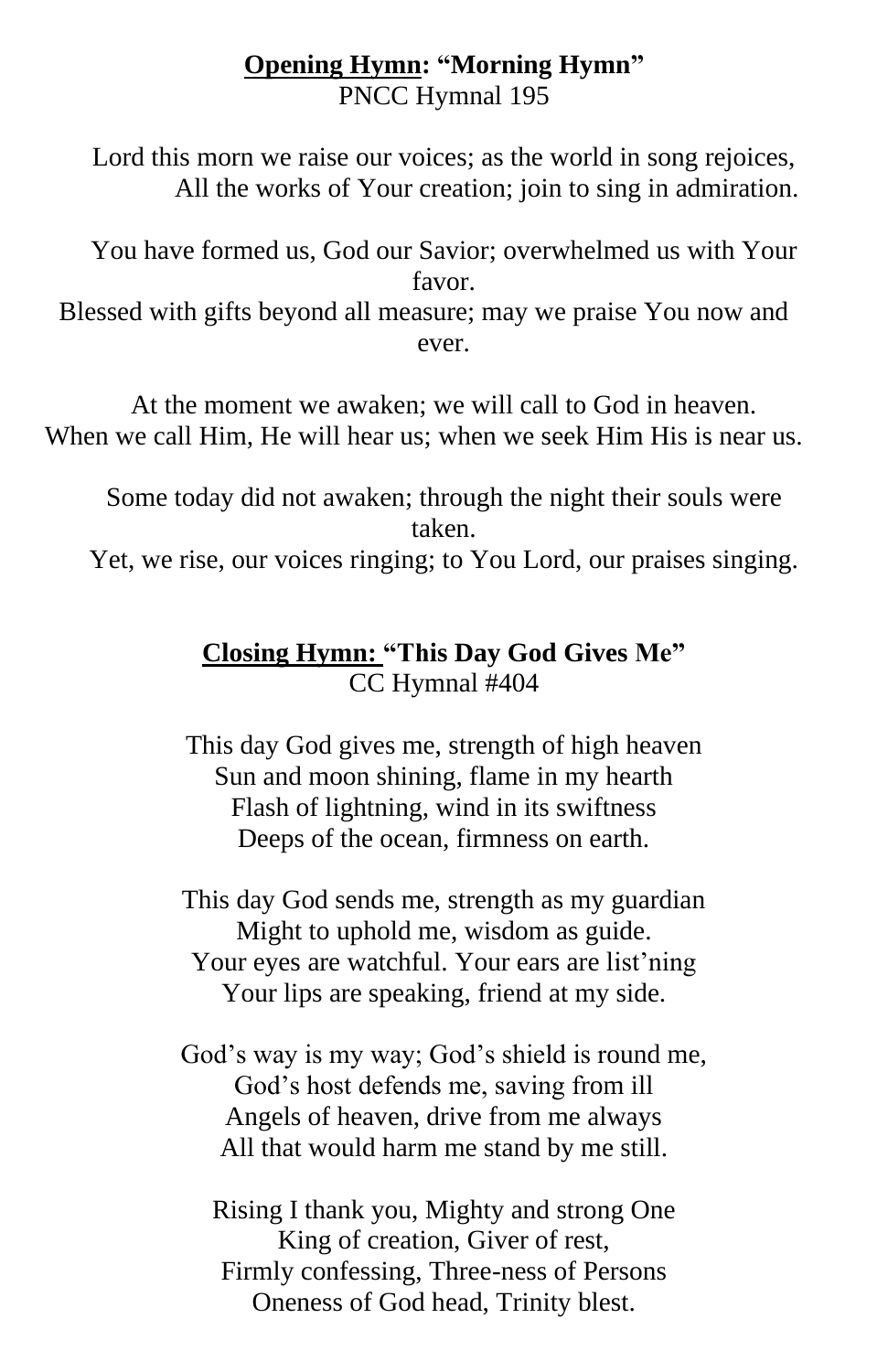#### **Opening Hymn: "Morning Hymn"** PNCC Hymnal 195

Lord this morn we raise our voices; as the world in song rejoices, All the works of Your creation; join to sing in admiration.

You have formed us, God our Savior; overwhelmed us with Your favor. Blessed with gifts beyond all measure; may we praise You now and ever.

At the moment we awaken; we will call to God in heaven. When we call Him, He will hear us; when we seek Him His is near us.

Some today did not awaken; through the night their souls were taken.

Yet, we rise, our voices ringing; to You Lord, our praises singing.

#### **Closing Hymn: "This Day God Gives Me"** CC Hymnal #404

This day God gives me, strength of high heaven Sun and moon shining, flame in my hearth Flash of lightning, wind in its swiftness Deeps of the ocean, firmness on earth.

This day God sends me, strength as my guardian Might to uphold me, wisdom as guide. Your eyes are watchful. Your ears are list'ning Your lips are speaking, friend at my side.

God's way is my way; God's shield is round me, God's host defends me, saving from ill Angels of heaven, drive from me always All that would harm me stand by me still.

Rising I thank you, Mighty and strong One King of creation, Giver of rest, Firmly confessing, Three-ness of Persons Oneness of God head, Trinity blest.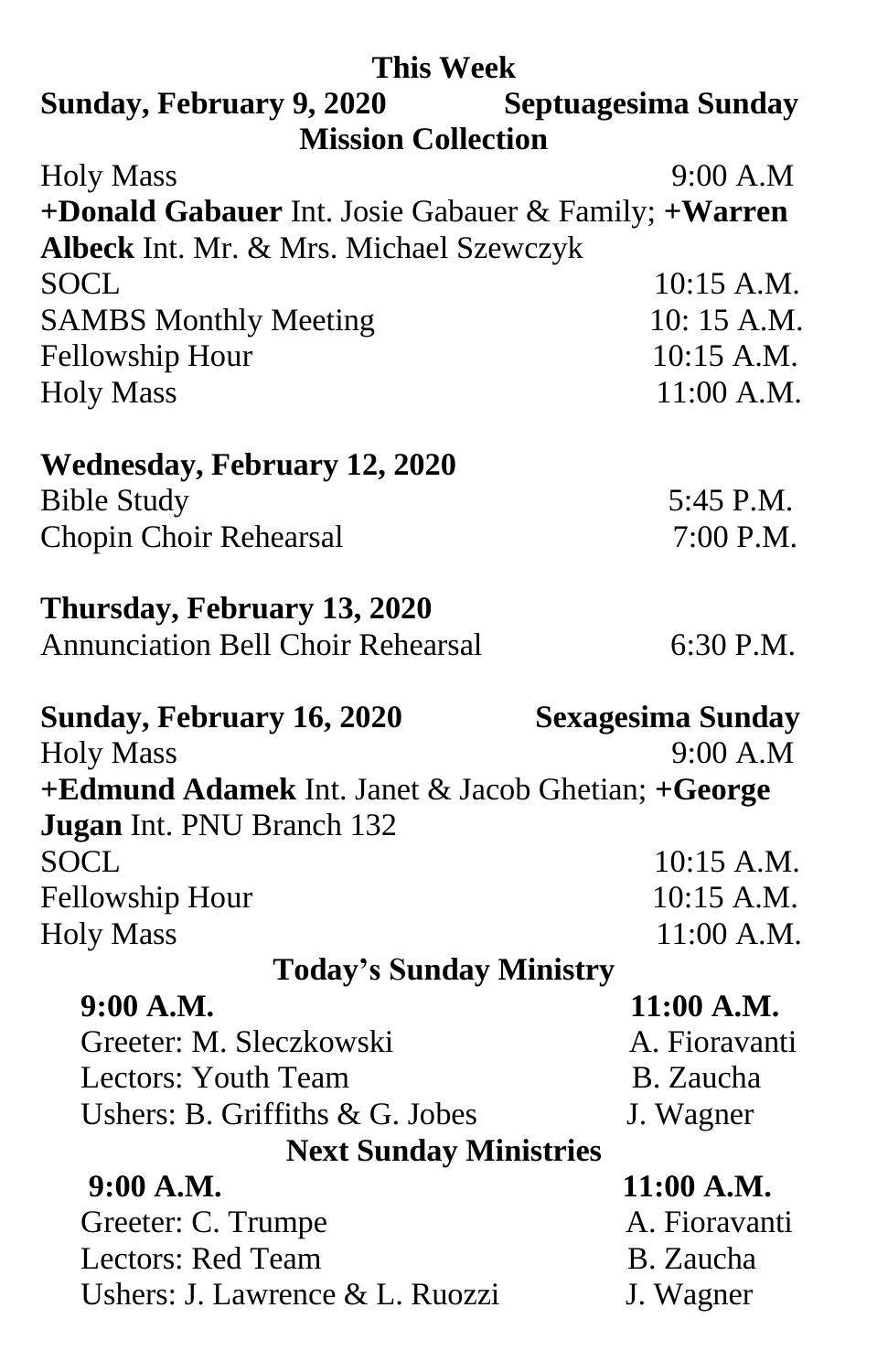| <b>This Week</b>                                     |                          |
|------------------------------------------------------|--------------------------|
| Sunday, February 9, 2020 Septuagesima Sunday         |                          |
| <b>Mission Collection</b>                            |                          |
| <b>Holy Mass</b>                                     | 9:00 A.M                 |
| +Donald Gabauer Int. Josie Gabauer & Family; +Warren |                          |
| Albeck Int. Mr. & Mrs. Michael Szewczyk              |                          |
| <b>SOCL</b>                                          | $10:15$ A.M.             |
| <b>SAMBS Monthly Meeting</b>                         | 10:15 A.M.               |
| Fellowship Hour                                      | 10:15 A.M.               |
| <b>Holy Mass</b>                                     | $11:00$ A.M.             |
| <b>Wednesday, February 12, 2020</b>                  |                          |
| <b>Bible Study</b>                                   | 5:45 P.M.                |
| <b>Chopin Choir Rehearsal</b>                        | 7:00 P.M.                |
|                                                      |                          |
| Thursday, February 13, 2020                          |                          |
| <b>Annunciation Bell Choir Rehearsal</b>             | 6:30 P.M.                |
|                                                      |                          |
|                                                      |                          |
| Sunday, February 16, 2020                            | <b>Sexagesima Sunday</b> |
| <b>Holy Mass</b>                                     | 9:00 A.M                 |
| +Edmund Adamek Int. Janet & Jacob Ghetian; +George   |                          |
| Jugan Int. PNU Branch 132                            |                          |
| <b>SOCL</b>                                          | 10:15 A.M.               |
| <b>Fellowship Hour</b>                               | $10:15$ A.M.             |
| <b>Holy Mass</b>                                     | $11:00$ A.M.             |
| <b>Today's Sunday Ministry</b>                       |                          |
| 9:00 A.M.                                            | $11:00$ A.M.             |
| Greeter: M. Sleczkowski                              | A. Fioravanti            |
| Lectors: Youth Team                                  | B. Zaucha                |
| Ushers: B. Griffiths & G. Jobes                      | J. Wagner                |
|                                                      |                          |
| <b>Next Sunday Ministries</b><br>9:00 A.M.           | $11:00$ A.M.             |
|                                                      | A. Fioravanti            |
| Greeter: C. Trumpe<br><b>Lectors: Red Team</b>       | B. Zaucha                |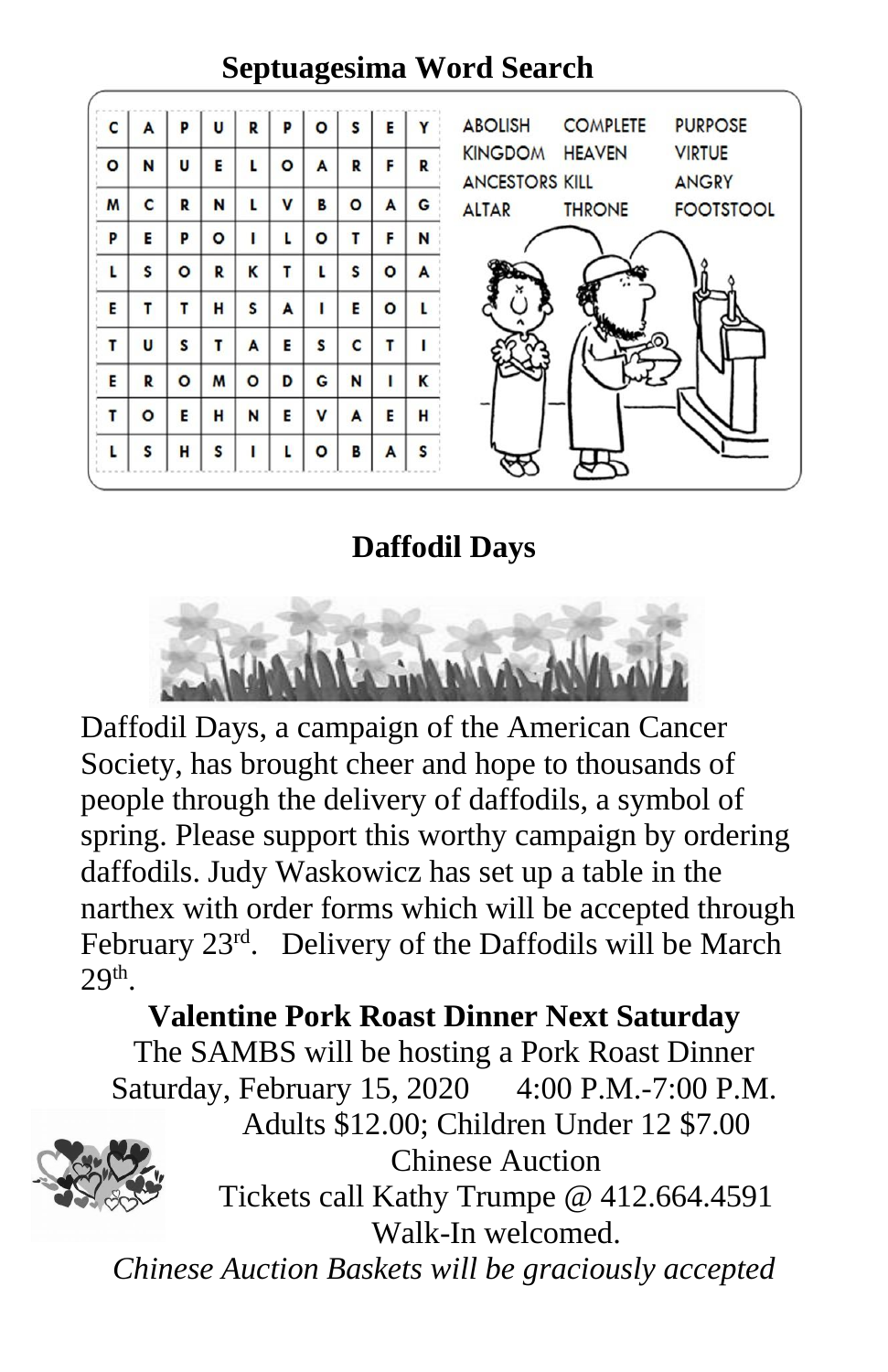#### Þ **ABOLISH COMPLETE PURPOSE** C A U R Þ E Y KINGDOM HEAVEN **VIRTUE** Ñ Ù E Ĺ  $\circ$ A F  $\overline{\mathbf{R}}$  $\overline{O}$  $\overline{\mathbf{R}}$ **ANCESTORS KILL ANGRY** M C  $\mathbf R$  $\mathbf N$ L  $\overline{\mathsf{v}}$ B  $\circ$  $\mathbf{A}$ G **ALTAR THRONE FOOTSTOOL** F P E P  $\circ$  $\mathbf{L}$ L  $\circ$ T N  $\overline{\mathsf{K}}$  $\mathbf{r}$ L  $\mathsf{s}$  $\bullet$ L  $\mathsf{s}$  $\circ$ R A  $\overline{A}$ T E  $\overline{\mathbf{o}}$ L E T T H  $\mathsf{s}$ T  $\mathsf{s}$  $\mathbf{r}$  $\overline{\mathsf{A}}$ E  $\mathsf{s}$  $\mathsf{c}$ T Ĺ U E  $\mathbf R$  $\circ$ M  $\circ$ D G N т K T E E V  $\overline{\mathbf{A}}$ E H  $\circ$ н N L  $\circ$ Г S H S Г B A S

# **Septuagesima Word Search**

**Daffodil Days**



Daffodil Days, a campaign of the American Cancer Society, has brought cheer and hope to thousands of people through the delivery of daffodils, a symbol of spring. Please support this worthy campaign by ordering daffodils. Judy Waskowicz has set up a table in the narthex with order forms which will be accepted through February 23<sup>rd</sup>. Delivery of the Daffodils will be March  $29<sup>th</sup>$ .

# **Valentine Pork Roast Dinner Next Saturday**

The SAMBS will be hosting a Pork Roast Dinner Saturday, February 15, 2020 4:00 P.M.-7:00 P.M.



Adults \$12.00; Children Under 12 \$7.00 Chinese Auction

Tickets call Kathy Trumpe @ 412.664.4591 Walk-In welcomed.

*Chinese Auction Baskets will be graciously accepted*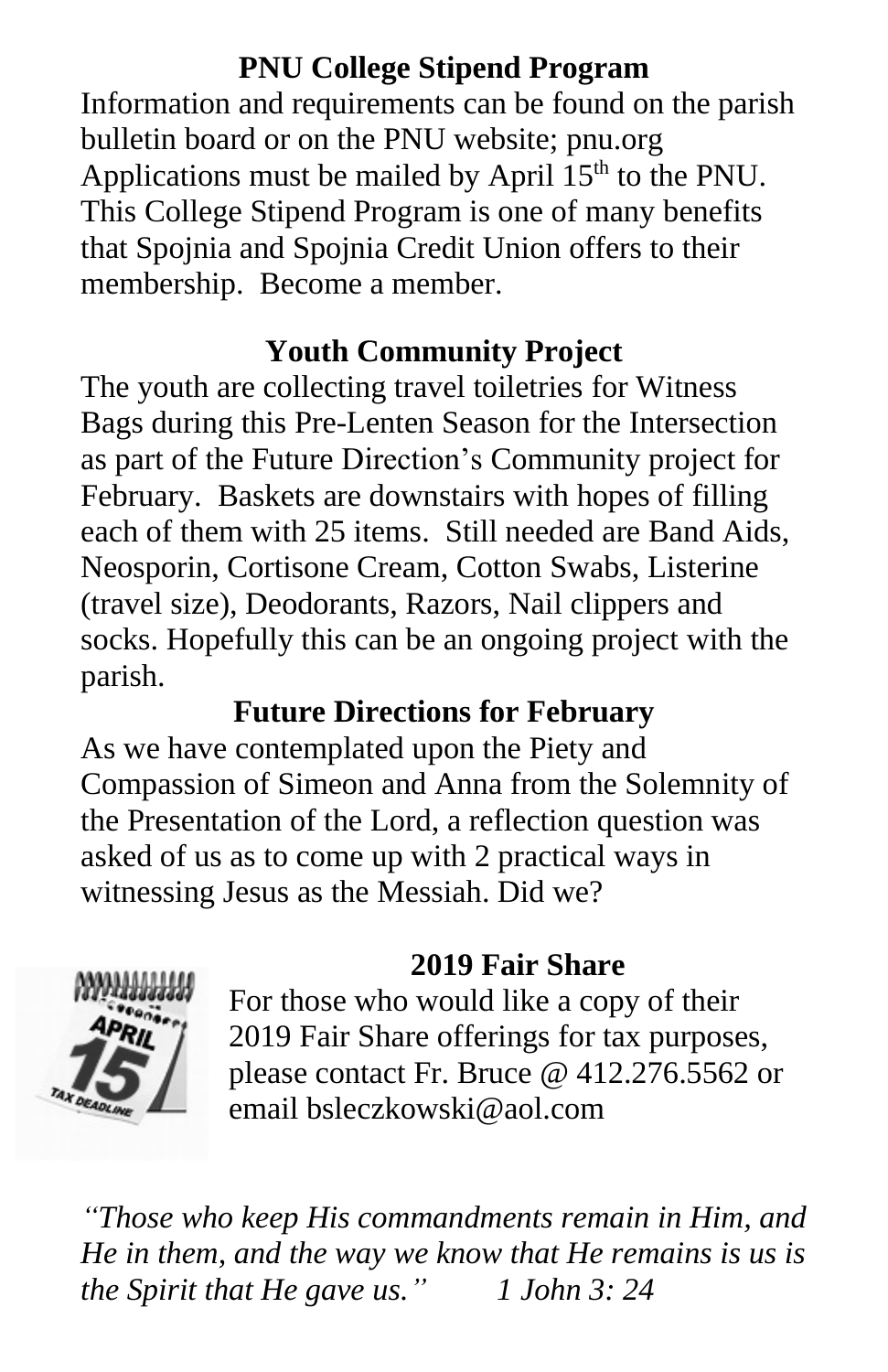#### **PNU College Stipend Program**

Information and requirements can be found on the parish bulletin board or on the PNU website; pnu.org Applications must be mailed by April  $15<sup>th</sup>$  to the PNU. This College Stipend Program is one of many benefits that Spojnia and Spojnia Credit Union offers to their membership. Become a member.

# **Youth Community Project**

The youth are collecting travel toiletries for Witness Bags during this Pre-Lenten Season for the Intersection as part of the Future Direction's Community project for February. Baskets are downstairs with hopes of filling each of them with 25 items. Still needed are Band Aids, Neosporin, Cortisone Cream, Cotton Swabs, Listerine (travel size), Deodorants, Razors, Nail clippers and socks. Hopefully this can be an ongoing project with the parish.

# **Future Directions for February**

As we have contemplated upon the Piety and Compassion of Simeon and Anna from the Solemnity of the Presentation of the Lord, a reflection question was asked of us as to come up with 2 practical ways in witnessing Jesus as the Messiah. Did we?



# **2019 Fair Share**

For those who would like a copy of their 2019 Fair Share offerings for tax purposes, please contact Fr. Bruce @ 412.276.5562 or email bsleczkowski@aol.com

*"Those who keep His commandments remain in Him, and He in them, and the way we know that He remains is us is the Spirit that He gave us." 1 John 3: 24*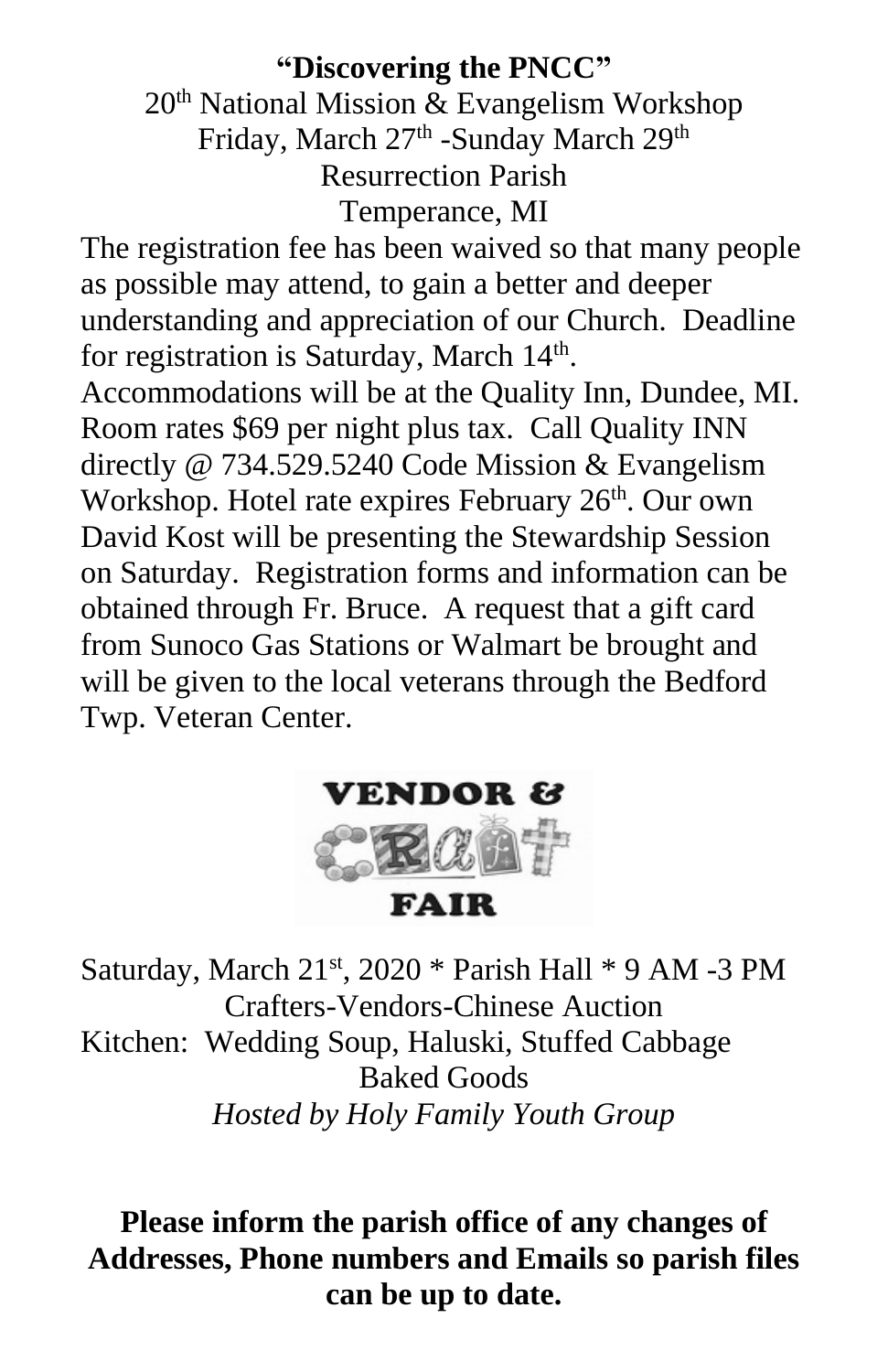#### **"Discovering the PNCC"**

20th National Mission & Evangelism Workshop Friday, March 27<sup>th</sup> -Sunday March 29<sup>th</sup> Resurrection Parish Temperance, MI

The registration fee has been waived so that many people as possible may attend, to gain a better and deeper understanding and appreciation of our Church. Deadline for registration is Saturday, March 14<sup>th</sup>.

Accommodations will be at the Quality Inn, Dundee, MI. Room rates \$69 per night plus tax. Call Quality INN directly @ 734.529.5240 Code Mission & Evangelism Workshop. Hotel rate expires February 26<sup>th</sup>. Our own David Kost will be presenting the Stewardship Session on Saturday. Registration forms and information can be obtained through Fr. Bruce. A request that a gift card from Sunoco Gas Stations or Walmart be brought and will be given to the local veterans through the Bedford Twp. Veteran Center.



Saturday, March  $21<sup>st</sup>$ ,  $2020 *$  Parish Hall  $*$  9 AM -3 PM Crafters-Vendors-Chinese Auction Kitchen: Wedding Soup, Haluski, Stuffed Cabbage Baked Goods *Hosted by Holy Family Youth Group*

**Please inform the parish office of any changes of Addresses, Phone numbers and Emails so parish files can be up to date.**